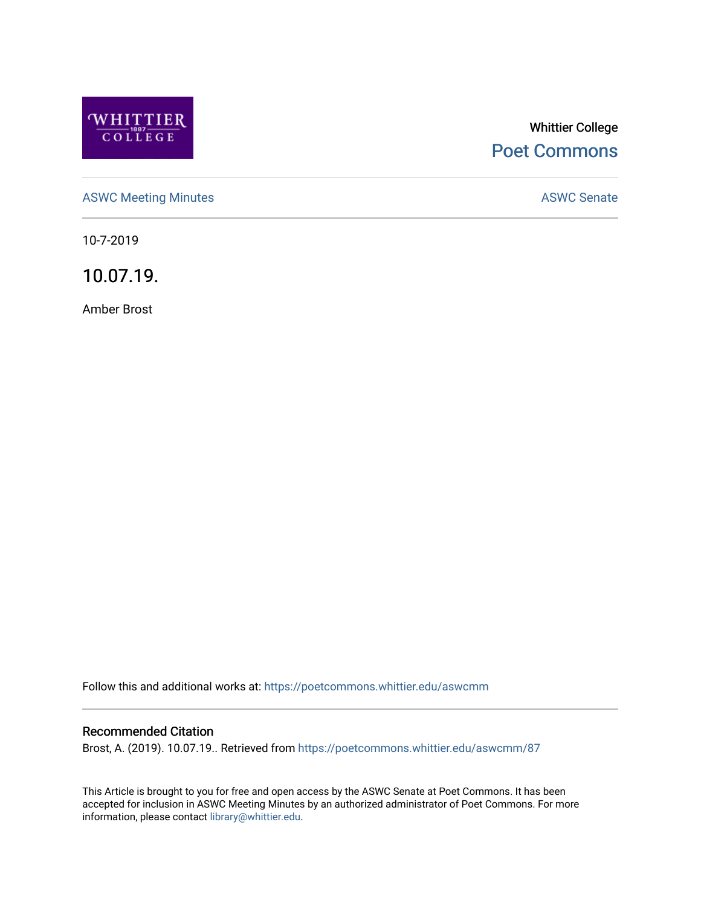

# Whittier College [Poet Commons](https://poetcommons.whittier.edu/)

[ASWC Meeting Minutes](https://poetcommons.whittier.edu/aswcmm) **ASWC Senate** 

10-7-2019

10.07.19.

Amber Brost

Follow this and additional works at: [https://poetcommons.whittier.edu/aswcmm](https://poetcommons.whittier.edu/aswcmm?utm_source=poetcommons.whittier.edu%2Faswcmm%2F87&utm_medium=PDF&utm_campaign=PDFCoverPages)

#### Recommended Citation

Brost, A. (2019). 10.07.19.. Retrieved from [https://poetcommons.whittier.edu/aswcmm/87](https://poetcommons.whittier.edu/aswcmm/87?utm_source=poetcommons.whittier.edu%2Faswcmm%2F87&utm_medium=PDF&utm_campaign=PDFCoverPages)

This Article is brought to you for free and open access by the ASWC Senate at Poet Commons. It has been accepted for inclusion in ASWC Meeting Minutes by an authorized administrator of Poet Commons. For more information, please contact [library@whittier.edu.](mailto:library@whittier.edu)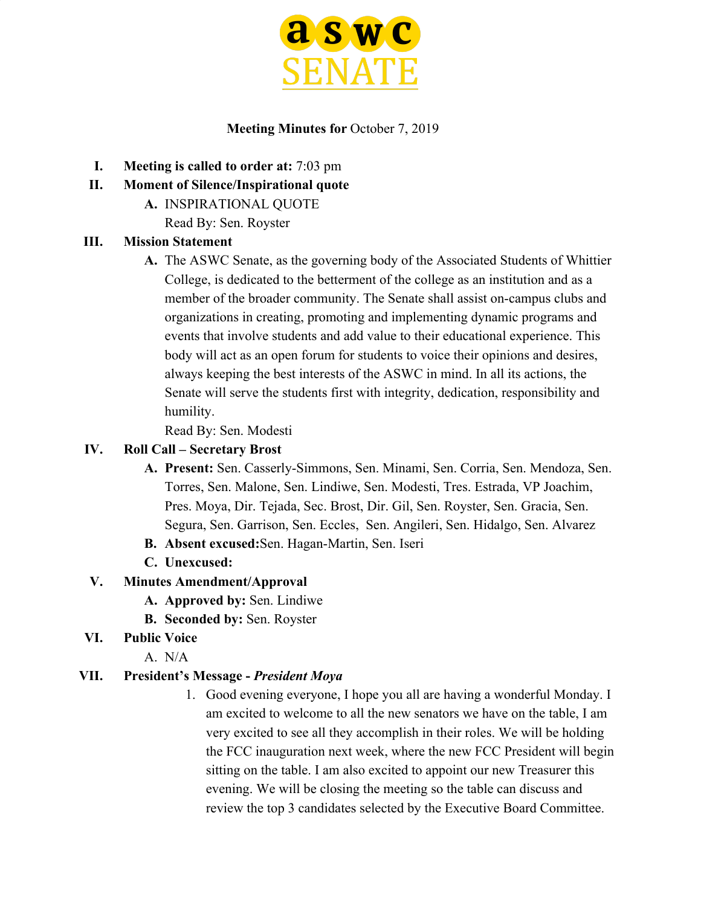

### **Meeting Minutes for** October 7, 2019

- **I. Meeting is called to order at:** 7:03 pm
- **II. Moment of Silence/Inspirational quote**
	- **A.** INSPIRATIONAL QUOTE
		- Read By: Sen. Royster

### **III. Mission Statement**

**A.** The ASWC Senate, as the governing body of the Associated Students of Whittier College, is dedicated to the betterment of the college as an institution and as a member of the broader community. The Senate shall assist on-campus clubs and organizations in creating, promoting and implementing dynamic programs and events that involve students and add value to their educational experience. This body will act as an open forum for students to voice their opinions and desires, always keeping the best interests of the ASWC in mind. In all its actions, the Senate will serve the students first with integrity, dedication, responsibility and humility.

Read By: Sen. Modesti

#### **IV. Roll Call – Secretary Brost**

- **A. Present:** Sen. Casserly-Simmons, Sen. Minami, Sen. Corria, Sen. Mendoza, Sen. Torres, Sen. Malone, Sen. Lindiwe, Sen. Modesti, Tres. Estrada, VP Joachim, Pres. Moya, Dir. Tejada, Sec. Brost, Dir. Gil, Sen. Royster, Sen. Gracia, Sen. Segura, Sen. Garrison, Sen. Eccles, Sen. Angileri, Sen. Hidalgo, Sen. Alvarez
- **B. Absent excused:**Sen. Hagan-Martin, Sen. Iseri
- **C. Unexcused:**
- **V. Minutes Amendment/Approval**
	- **A. Approved by:** Sen. Lindiwe
	- **B. Seconded by:** Sen. Royster
- **VI. Public Voice**
	- A. N/A

#### **VII. President's Message -** *President Moya*

1. Good evening everyone, I hope you all are having a wonderful Monday. I am excited to welcome to all the new senators we have on the table, I am very excited to see all they accomplish in their roles. We will be holding the FCC inauguration next week, where the new FCC President will begin sitting on the table. I am also excited to appoint our new Treasurer this evening. We will be closing the meeting so the table can discuss and review the top 3 candidates selected by the Executive Board Committee.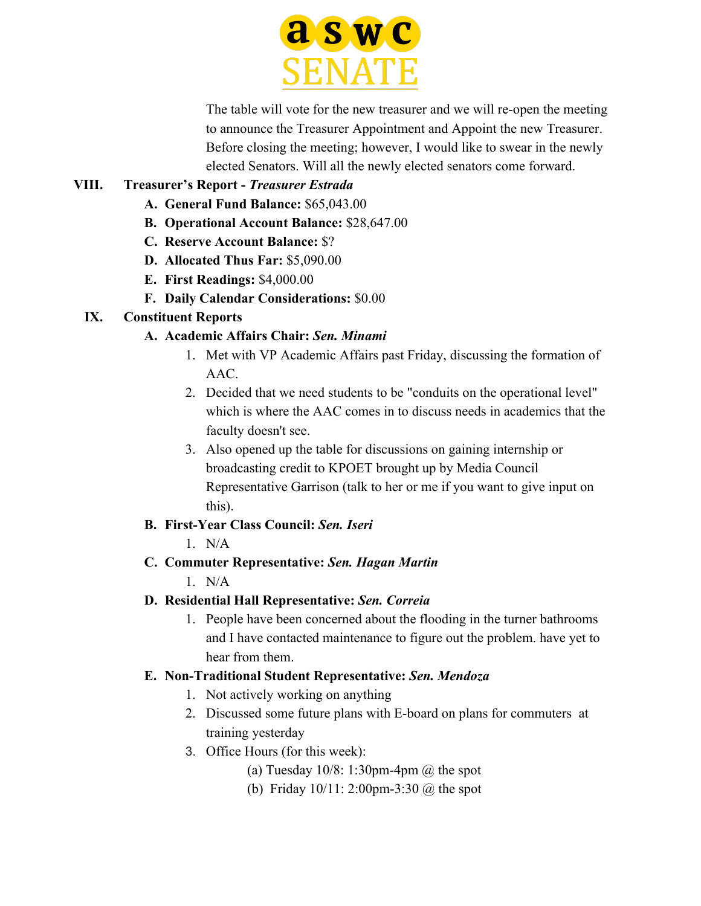

The table will vote for the new treasurer and we will re-open the meeting to announce the Treasurer Appointment and Appoint the new Treasurer. Before closing the meeting; however, I would like to swear in the newly elected Senators. Will all the newly elected senators come forward.

# **VIII. Treasurer's Report -** *Treasurer Estrada*

- **A. General Fund Balance:** \$65,043.00
- **B. Operational Account Balance:** \$28,647.00
- **C. Reserve Account Balance:** \$?
- **D. Allocated Thus Far:** \$5,090.00
- **E. First Readings:** \$4,000.00
- **F. Daily Calendar Considerations:** \$0.00

# **IX. Constituent Reports**

# **A. Academic Affairs Chair:** *Sen. Minami*

- 1. Met with VP Academic Affairs past Friday, discussing the formation of AAC.
- 2. Decided that we need students to be "conduits on the operational level" which is where the AAC comes in to discuss needs in academics that the faculty doesn't see.
- 3. Also opened up the table for discussions on gaining internship or broadcasting credit to KPOET brought up by Media Council Representative Garrison (talk to her or me if you want to give input on this).

# **B. First-Year Class Council:** *Sen. Iseri*

 $1$  N/A

# **C. Commuter Representative:** *Sen. Hagan Martin*

 $1$  N/A

- **D. Residential Hall Representative:** *Sen. Correia*
	- 1. People have been concerned about the flooding in the turner bathrooms and I have contacted maintenance to figure out the problem. have yet to hear from them.

### **E. Non-Traditional Student Representative:** *Sen. Mendoza*

- 1. Not actively working on anything
- 2. Discussed some future plans with E-board on plans for commuters at training yesterday
- 3. Office Hours (for this week):
	- (a) Tuesday  $10/8$ : 1:30pm-4pm  $\omega$  the spot
	- (b) Friday 10/11: 2:00pm-3:30 @ the spot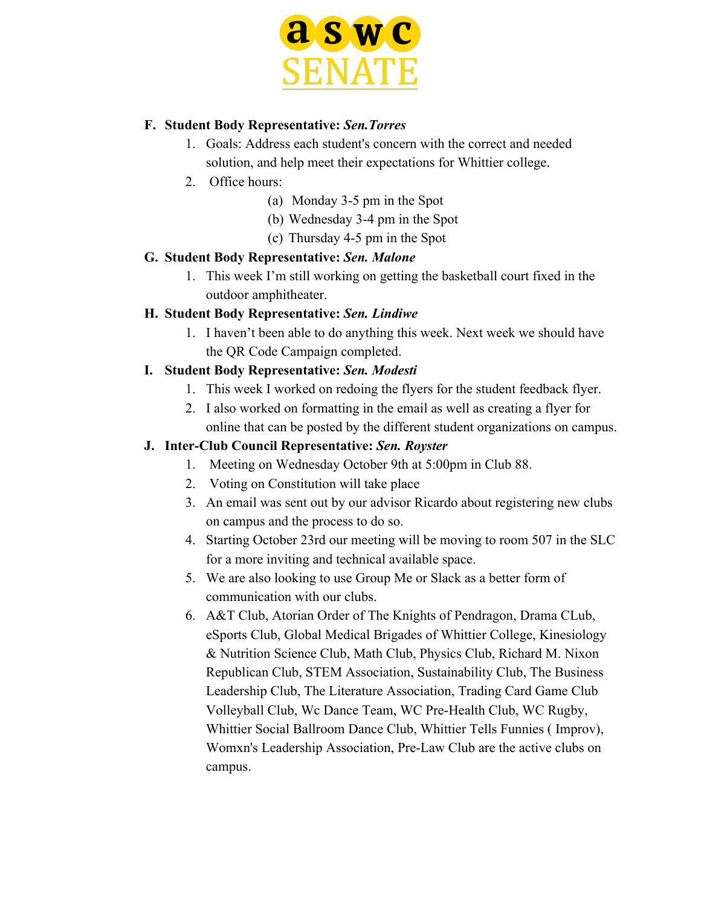

#### **F. Student Body Representative:** *Sen.Torres*

- 1. Goals: Address each student's concern with the correct and needed solution, and help meet their expectations for Whittier college.
- 2. Office hours:
	- (a) Monday 3-5 pm in the Spot
	- (b) Wednesday 3-4 pm in the Spot
	- (c) Thursday 4-5 pm in the Spot

#### **G. Student Body Representative:** *Sen. Malone*

1. This week I'm still working on getting the basketball court fixed in the outdoor amphitheater.

### **H. Student Body Representative:** *Sen. Lindiwe*

1. I haven't been able to do anything this week. Next week we should have the QR Code Campaign completed.

### **I. Student Body Representative:** *Sen. Modesti*

- 1. This week I worked on redoing the flyers for the student feedback flyer.
- 2. I also worked on formatting in the email as well as creating a flyer for online that can be posted by the different student organizations on campus.

### **J. Inter-Club Council Representative:** *Sen. Royster*

- 1. Meeting on Wednesday October 9th at 5:00pm in Club 88.
- 2. Voting on Constitution will take place
- 3. An email was sent out by our advisor Ricardo about registering new clubs on campus and the process to do so.
- 4. Starting October 23rd our meeting will be moving to room 507 in the SLC for a more inviting and technical available space.
- 5. We are also looking to use Group Me or Slack as a better form of communication with our clubs.
- 6. A&T Club, Atorian Order of The Knights of Pendragon, Drama CLub, eSports Club, Global Medical Brigades of Whittier College, Kinesiology & Nutrition Science Club, Math Club, Physics Club, Richard M. Nixon Republican Club, STEM Association, Sustainability Club, The Business Leadership Club, The Literature Association, Trading Card Game Club Volleyball Club, Wc Dance Team, WC Pre-Health Club, WC Rugby, Whittier Social Ballroom Dance Club, Whittier Tells Funnies ( Improv), Womxn's Leadership Association, Pre-Law Club are the active clubs on campus.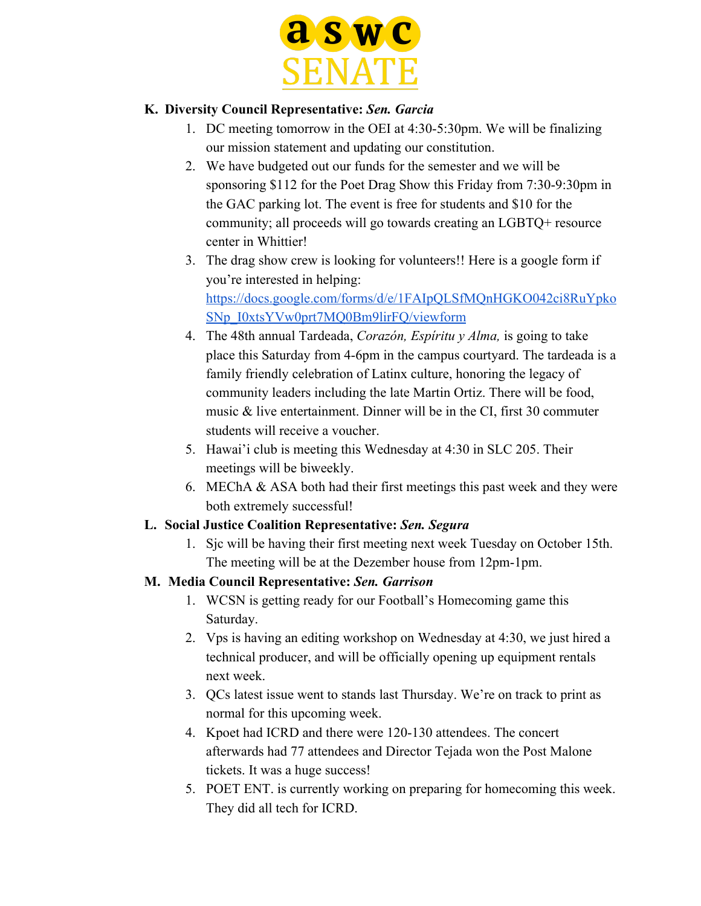

### **K. Diversity Council Representative:** *Sen. Garcia*

- 1. DC meeting tomorrow in the OEI at 4:30-5:30pm. We will be finalizing our mission statement and updating our constitution.
- 2. We have budgeted out our funds for the semester and we will be sponsoring \$112 for the Poet Drag Show this Friday from 7:30-9:30pm in the GAC parking lot. The event is free for students and \$10 for the community; all proceeds will go towards creating an LGBTQ+ resource center in Whittier!
- 3. The drag show crew is looking for volunteers!! Here is a google form if you're interested in helping: [https://docs.google.com/forms/d/e/1FAIpQLSfMQnHGKO042ci8RuYpko](https://docs.google.com/forms/d/e/1FAIpQLSfMQnHGKO042ci8RuYpkoSNp_I0xtsYVw0prt7MQ0Bm9lirFQ/viewform) [SNp\\_I0xtsYVw0prt7MQ0Bm9lirFQ/viewform](https://docs.google.com/forms/d/e/1FAIpQLSfMQnHGKO042ci8RuYpkoSNp_I0xtsYVw0prt7MQ0Bm9lirFQ/viewform)
- 4. The 48th annual Tardeada, *Corazón, Espíritu y Alma,* is going to take place this Saturday from 4-6pm in the campus courtyard. The tardeada is a family friendly celebration of Latinx culture, honoring the legacy of community leaders including the late Martin Ortiz. There will be food, music & live entertainment. Dinner will be in the CI, first 30 commuter students will receive a voucher.
- 5. Hawai'i club is meeting this Wednesday at 4:30 in SLC 205. Their meetings will be biweekly.
- 6. MEChA & ASA both had their first meetings this past week and they were both extremely successful!

### **L. Social Justice Coalition Representative:** *Sen. Segura*

1. Sjc will be having their first meeting next week Tuesday on October 15th. The meeting will be at the Dezember house from 12pm-1pm.

### **M. Media Council Representative:** *Sen. Garrison*

- 1. WCSN is getting ready for our Football's Homecoming game this Saturday.
- 2. Vps is having an editing workshop on Wednesday at 4:30, we just hired a technical producer, and will be officially opening up equipment rentals next week.
- 3. QCs latest issue went to stands last Thursday. We're on track to print as normal for this upcoming week.
- 4. Kpoet had ICRD and there were 120-130 attendees. The concert afterwards had 77 attendees and Director Tejada won the Post Malone tickets. It was a huge success!
- 5. POET ENT. is currently working on preparing for homecoming this week. They did all tech for ICRD.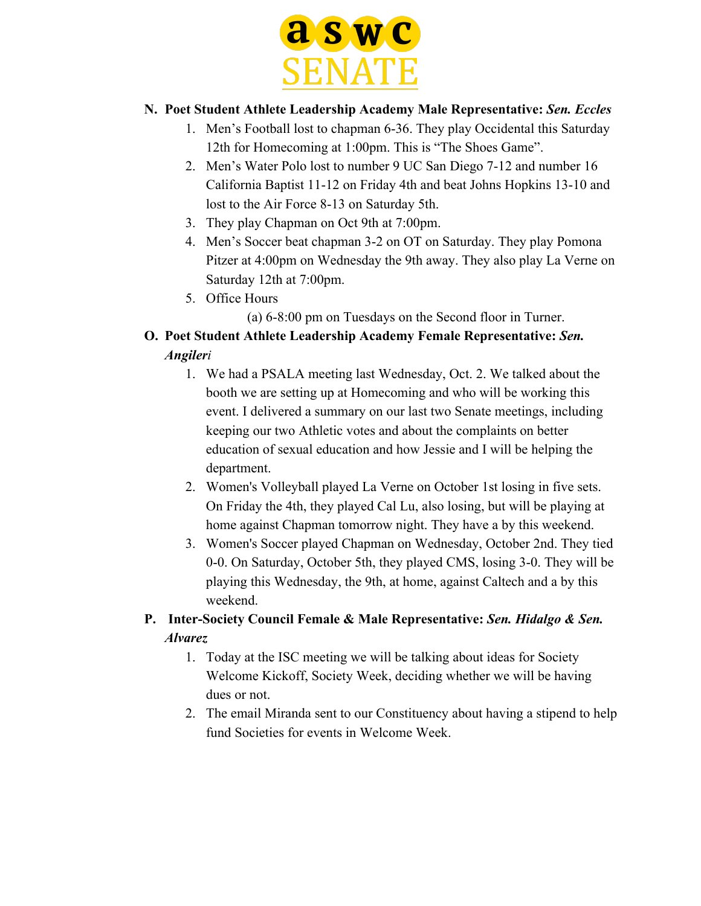

### **N. Poet Student Athlete Leadership Academy Male Representative:** *Sen. Eccles*

- 1. Men's Football lost to chapman 6-36. They play Occidental this Saturday 12th for Homecoming at 1:00pm. This is "The Shoes Game".
- 2. Men's Water Polo lost to number 9 UC San Diego 7-12 and number 16 California Baptist 11-12 on Friday 4th and beat Johns Hopkins 13-10 and lost to the Air Force 8-13 on Saturday 5th.
- 3. They play Chapman on Oct 9th at 7:00pm.
- 4. Men's Soccer beat chapman 3-2 on OT on Saturday. They play Pomona Pitzer at 4:00pm on Wednesday the 9th away. They also play La Verne on Saturday 12th at 7:00pm.
- 5. Office Hours
	- (a) 6-8:00 pm on Tuesdays on the Second floor in Turner.

# **O. Poet Student Athlete Leadership Academy Female Representative:** *Sen. Angileri*

- 1. We had a PSALA meeting last Wednesday, Oct. 2. We talked about the booth we are setting up at Homecoming and who will be working this event. I delivered a summary on our last two Senate meetings, including keeping our two Athletic votes and about the complaints on better education of sexual education and how Jessie and I will be helping the department.
- 2. Women's Volleyball played La Verne on October 1st losing in five sets. On Friday the 4th, they played Cal Lu, also losing, but will be playing at home against Chapman tomorrow night. They have a by this weekend.
- 3. Women's Soccer played Chapman on Wednesday, October 2nd. They tied 0-0. On Saturday, October 5th, they played CMS, losing 3-0. They will be playing this Wednesday, the 9th, at home, against Caltech and a by this weekend.

# **P. Inter-Society Council Female & Male Representative:** *Sen. Hidalgo & Sen. Alvarez*

- 1. Today at the ISC meeting we will be talking about ideas for Society Welcome Kickoff, Society Week, deciding whether we will be having dues or not.
- 2. The email Miranda sent to our Constituency about having a stipend to help fund Societies for events in Welcome Week.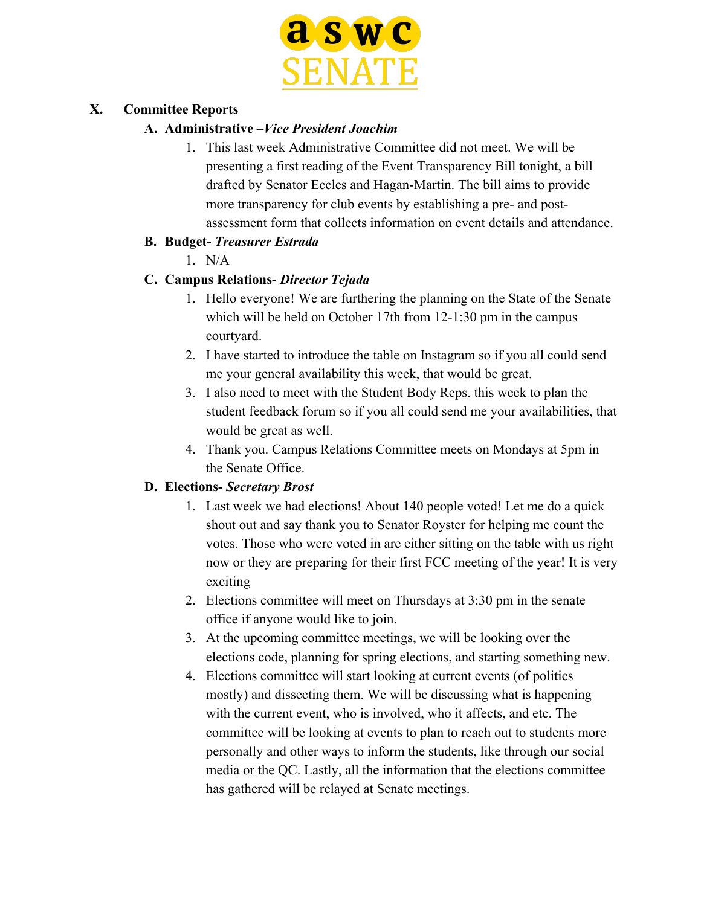

### **X. Committee Reports**

### **A. Administrative –***Vice President Joachim*

1. This last week Administrative Committee did not meet. We will be presenting a first reading of the Event Transparency Bill tonight, a bill drafted by Senator Eccles and Hagan-Martin. The bill aims to provide more transparency for club events by establishing a pre- and postassessment form that collects information on event details and attendance.

### **B. Budget-** *Treasurer Estrada*

1. N/A

# **C. Campus Relations-** *Director Tejada*

- 1. Hello everyone! We are furthering the planning on the State of the Senate which will be held on October 17th from 12-1:30 pm in the campus courtyard.
- 2. I have started to introduce the table on Instagram so if you all could send me your general availability this week, that would be great.
- 3. I also need to meet with the Student Body Reps. this week to plan the student feedback forum so if you all could send me your availabilities, that would be great as well.
- 4. Thank you. Campus Relations Committee meets on Mondays at 5pm in the Senate Office.

### **D. Elections-** *Secretary Brost*

- 1. Last week we had elections! About 140 people voted! Let me do a quick shout out and say thank you to Senator Royster for helping me count the votes. Those who were voted in are either sitting on the table with us right now or they are preparing for their first FCC meeting of the year! It is very exciting
- 2. Elections committee will meet on Thursdays at 3:30 pm in the senate office if anyone would like to join.
- 3. At the upcoming committee meetings, we will be looking over the elections code, planning for spring elections, and starting something new.
- 4. Elections committee will start looking at current events (of politics mostly) and dissecting them. We will be discussing what is happening with the current event, who is involved, who it affects, and etc. The committee will be looking at events to plan to reach out to students more personally and other ways to inform the students, like through our social media or the QC. Lastly, all the information that the elections committee has gathered will be relayed at Senate meetings.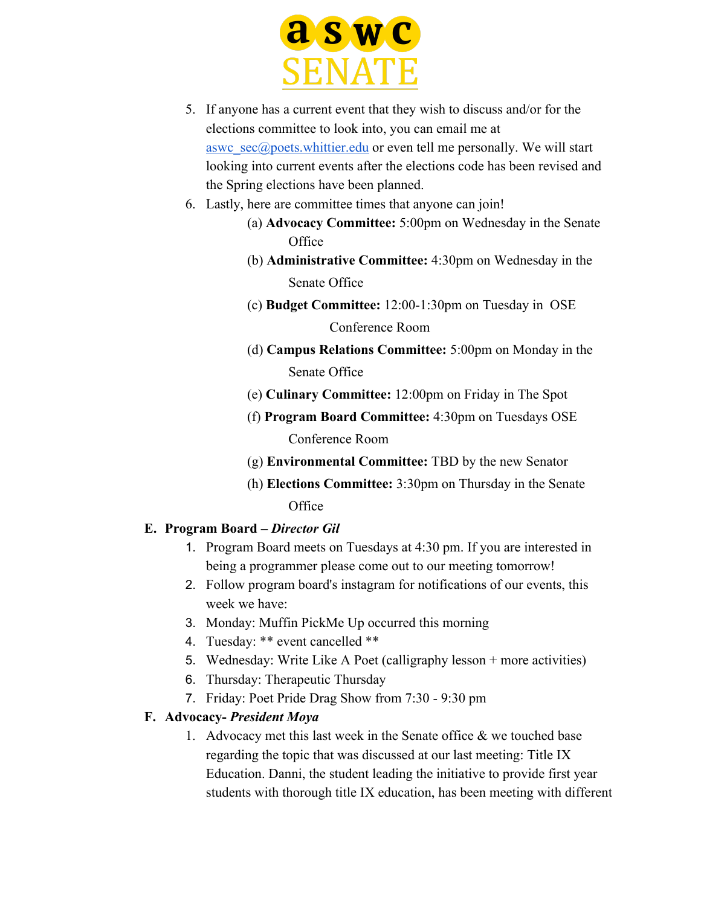

- 5. If anyone has a current event that they wish to discuss and/or for the elections committee to look into, you can email me at [aswc\\_sec@poets.whittier.edu](mailto:aswc_sec@poets.whittier.edu) or even tell me personally. We will start looking into current events after the elections code has been revised and the Spring elections have been planned.
- 6. Lastly, here are committee times that anyone can join!
	- (a) **Advocacy Committee:** 5:00pm on Wednesday in the Senate **Office**
	- (b) **Administrative Committee:** 4:30pm on Wednesday in the Senate Office
	- (c) **Budget Committee:** 12:00-1:30pm on Tuesday in OSE Conference Room
	- (d) **Campus Relations Committee:** 5:00pm on Monday in the Senate Office
	- (e) **Culinary Committee:** 12:00pm on Friday in The Spot
	- (f) **Program Board Committee:** 4:30pm on Tuesdays OSE Conference Room
	- (g) **Environmental Committee:** TBD by the new Senator
	- (h) **Elections Committee:** 3:30pm on Thursday in the Senate **Office**

### **E. Program Board –** *Director Gil*

- 1. Program Board meets on Tuesdays at 4:30 pm. If you are interested in being a programmer please come out to our meeting tomorrow!
- 2. Follow program board's instagram for notifications of our events, this week we have:
- 3. Monday: Muffin PickMe Up occurred this morning
- 4. Tuesday: \*\* event cancelled \*\*
- 5. Wednesday: Write Like A Poet (calligraphy lesson + more activities)
- 6. Thursday: Therapeutic Thursday
- 7. Friday: Poet Pride Drag Show from 7:30 9:30 pm

### **F. Advocacy-** *President Moya*

1. Advocacy met this last week in the Senate office  $\&$  we touched base regarding the topic that was discussed at our last meeting: Title IX Education. Danni, the student leading the initiative to provide first year students with thorough title IX education, has been meeting with different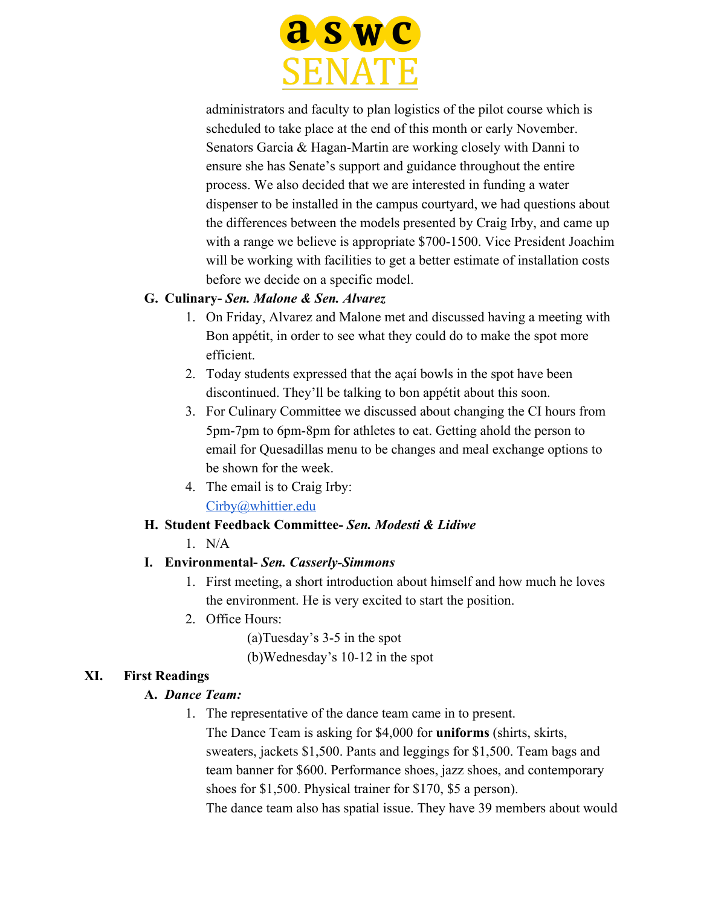

administrators and faculty to plan logistics of the pilot course which is scheduled to take place at the end of this month or early November. Senators Garcia & Hagan-Martin are working closely with Danni to ensure she has Senate's support and guidance throughout the entire process. We also decided that we are interested in funding a water dispenser to be installed in the campus courtyard, we had questions about the differences between the models presented by Craig Irby, and came up with a range we believe is appropriate \$700-1500. Vice President Joachim will be working with facilities to get a better estimate of installation costs before we decide on a specific model.

### **G. Culinary-** *Sen. Malone & Sen. Alvarez*

- 1. On Friday, Alvarez and Malone met and discussed having a meeting with Bon appétit, in order to see what they could do to make the spot more efficient.
- 2. Today students expressed that the açaí bowls in the spot have been discontinued. They'll be talking to bon appétit about this soon.
- 3. For Culinary Committee we discussed about changing the CI hours from 5pm-7pm to 6pm-8pm for athletes to eat. Getting ahold the person to email for Quesadillas menu to be changes and meal exchange options to be shown for the week.
- 4. The email is to Craig Irby: [Cirby@whittier.edu](mailto:Cirby@whittier.edu)

### **H. Student Feedback Committee-** *Sen. Modesti & Lidiwe*

1. N/A

### **I. Environmental-** *Sen. Casserly-Simmons*

- 1. First meeting, a short introduction about himself and how much he loves the environment. He is very excited to start the position.
- 2. Office Hours:

(a)Tuesday's 3-5 in the spot

(b)Wednesday's 10-12 in the spot

### **XI. First Readings**

### **A.** *Dance Team:*

1. The representative of the dance team came in to present.

The Dance Team is asking for \$4,000 for **uniforms** (shirts, skirts, sweaters, jackets \$1,500. Pants and leggings for \$1,500. Team bags and team banner for \$600. Performance shoes, jazz shoes, and contemporary shoes for \$1,500. Physical trainer for \$170, \$5 a person).

The dance team also has spatial issue. They have 39 members about would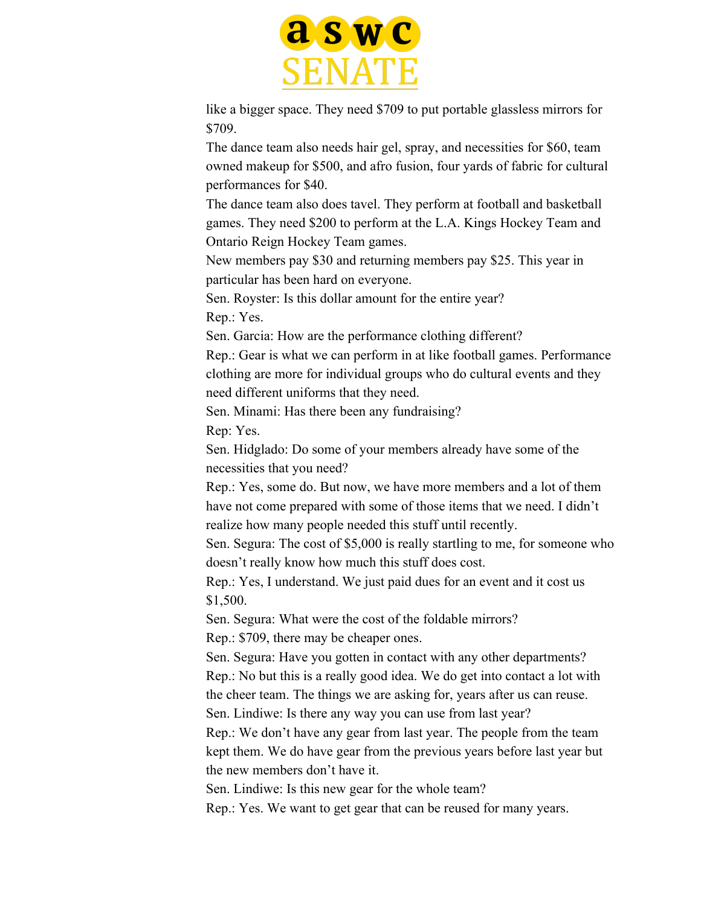

like a bigger space. They need \$709 to put portable glassless mirrors for \$709.

The dance team also needs hair gel, spray, and necessities for \$60, team owned makeup for \$500, and afro fusion, four yards of fabric for cultural performances for \$40.

The dance team also does tavel. They perform at football and basketball games. They need \$200 to perform at the L.A. Kings Hockey Team and Ontario Reign Hockey Team games.

New members pay \$30 and returning members pay \$25. This year in particular has been hard on everyone.

Sen. Royster: Is this dollar amount for the entire year? Rep.: Yes.

Sen. Garcia: How are the performance clothing different?

Rep.: Gear is what we can perform in at like football games. Performance clothing are more for individual groups who do cultural events and they need different uniforms that they need.

Sen. Minami: Has there been any fundraising?

Rep: Yes.

Sen. Hidglado: Do some of your members already have some of the necessities that you need?

Rep.: Yes, some do. But now, we have more members and a lot of them have not come prepared with some of those items that we need. I didn't realize how many people needed this stuff until recently.

Sen. Segura: The cost of \$5,000 is really startling to me, for someone who doesn't really know how much this stuff does cost.

Rep.: Yes, I understand. We just paid dues for an event and it cost us \$1,500.

Sen. Segura: What were the cost of the foldable mirrors?

Rep.: \$709, there may be cheaper ones.

Sen. Segura: Have you gotten in contact with any other departments? Rep.: No but this is a really good idea. We do get into contact a lot with the cheer team. The things we are asking for, years after us can reuse. Sen. Lindiwe: Is there any way you can use from last year?

Rep.: We don't have any gear from last year. The people from the team kept them. We do have gear from the previous years before last year but the new members don't have it.

Sen. Lindiwe: Is this new gear for the whole team?

Rep.: Yes. We want to get gear that can be reused for many years.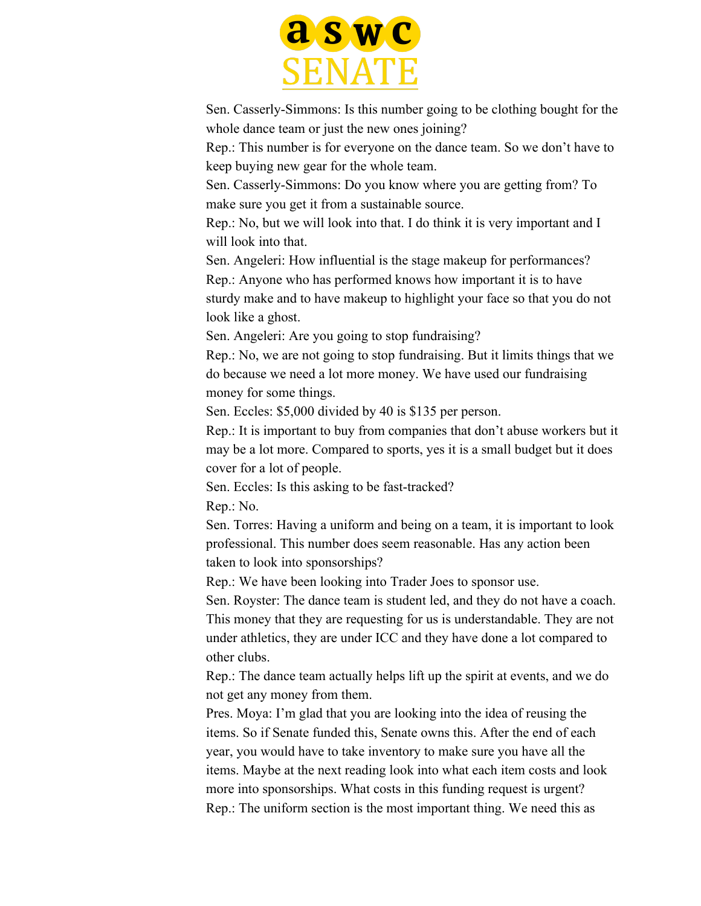

Sen. Casserly-Simmons: Is this number going to be clothing bought for the whole dance team or just the new ones joining?

Rep.: This number is for everyone on the dance team. So we don't have to keep buying new gear for the whole team.

Sen. Casserly-Simmons: Do you know where you are getting from? To make sure you get it from a sustainable source.

Rep.: No, but we will look into that. I do think it is very important and I will look into that.

Sen. Angeleri: How influential is the stage makeup for performances? Rep.: Anyone who has performed knows how important it is to have sturdy make and to have makeup to highlight your face so that you do not look like a ghost.

Sen. Angeleri: Are you going to stop fundraising?

Rep.: No, we are not going to stop fundraising. But it limits things that we do because we need a lot more money. We have used our fundraising money for some things.

Sen. Eccles: \$5,000 divided by 40 is \$135 per person.

Rep.: It is important to buy from companies that don't abuse workers but it may be a lot more. Compared to sports, yes it is a small budget but it does cover for a lot of people.

Sen. Eccles: Is this asking to be fast-tracked?

Rep.: No.

Sen. Torres: Having a uniform and being on a team, it is important to look professional. This number does seem reasonable. Has any action been taken to look into sponsorships?

Rep.: We have been looking into Trader Joes to sponsor use.

Sen. Royster: The dance team is student led, and they do not have a coach. This money that they are requesting for us is understandable. They are not under athletics, they are under ICC and they have done a lot compared to other clubs.

Rep.: The dance team actually helps lift up the spirit at events, and we do not get any money from them.

Pres. Moya: I'm glad that you are looking into the idea of reusing the items. So if Senate funded this, Senate owns this. After the end of each year, you would have to take inventory to make sure you have all the items. Maybe at the next reading look into what each item costs and look more into sponsorships. What costs in this funding request is urgent? Rep.: The uniform section is the most important thing. We need this as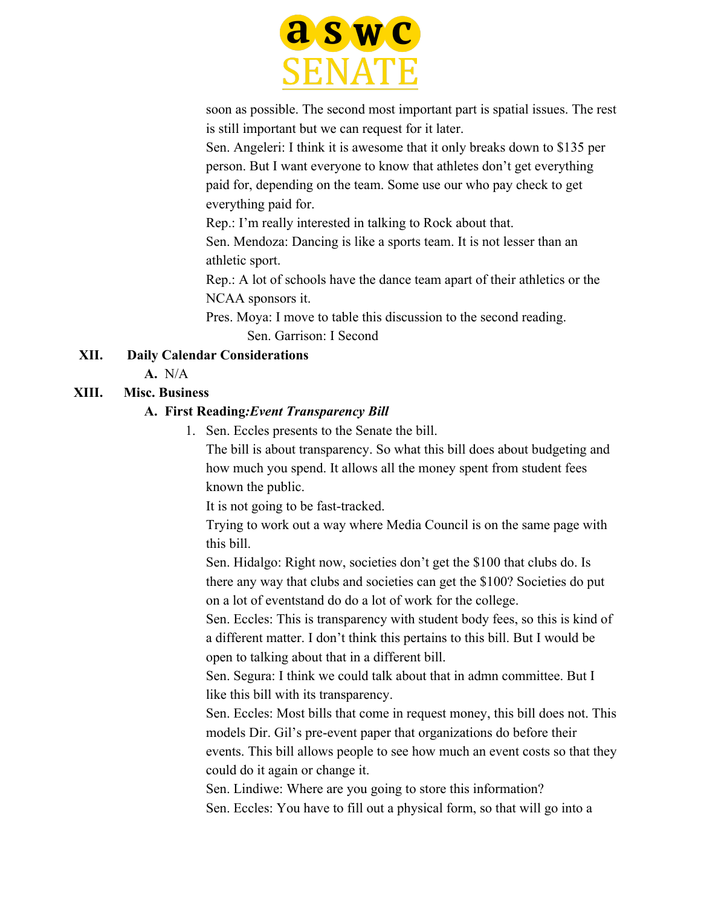

soon as possible. The second most important part is spatial issues. The rest is still important but we can request for it later.

Sen. Angeleri: I think it is awesome that it only breaks down to \$135 per person. But I want everyone to know that athletes don't get everything paid for, depending on the team. Some use our who pay check to get everything paid for.

Rep.: I'm really interested in talking to Rock about that.

Sen. Mendoza: Dancing is like a sports team. It is not lesser than an athletic sport.

Rep.: A lot of schools have the dance team apart of their athletics or the NCAA sponsors it.

Pres. Moya: I move to table this discussion to the second reading. Sen. Garrison: I Second

### **XII. Daily Calendar Considerations**

**A.** N/A

### **XIII. Misc. Business**

#### **A. First Reading***:Event Transparency Bill*

1. Sen. Eccles presents to the Senate the bill.

The bill is about transparency. So what this bill does about budgeting and how much you spend. It allows all the money spent from student fees known the public.

It is not going to be fast-tracked.

Trying to work out a way where Media Council is on the same page with this bill.

Sen. Hidalgo: Right now, societies don't get the \$100 that clubs do. Is there any way that clubs and societies can get the \$100? Societies do put on a lot of eventstand do do a lot of work for the college.

Sen. Eccles: This is transparency with student body fees, so this is kind of a different matter. I don't think this pertains to this bill. But I would be open to talking about that in a different bill.

Sen. Segura: I think we could talk about that in admn committee. But I like this bill with its transparency.

Sen. Eccles: Most bills that come in request money, this bill does not. This models Dir. Gil's pre-event paper that organizations do before their events. This bill allows people to see how much an event costs so that they could do it again or change it.

Sen. Lindiwe: Where are you going to store this information? Sen. Eccles: You have to fill out a physical form, so that will go into a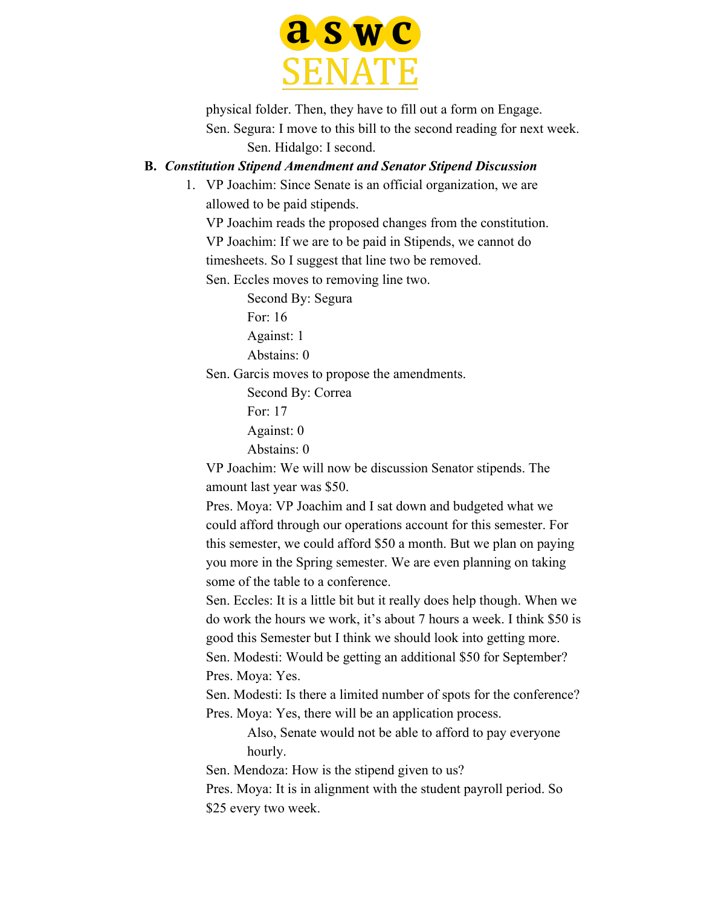

physical folder. Then, they have to fill out a form on Engage. Sen. Segura: I move to this bill to the second reading for next week.

Sen. Hidalgo: I second.

#### **B.** *Constitution Stipend Amendment and Senator Stipend Discussion*

1. VP Joachim: Since Senate is an official organization, we are allowed to be paid stipends.

VP Joachim reads the proposed changes from the constitution. VP Joachim: If we are to be paid in Stipends, we cannot do timesheets. So I suggest that line two be removed.

Sen. Eccles moves to removing line two.

Second By: Segura

For: 16

Against: 1

Abstains: 0

Sen. Garcis moves to propose the amendments.

Second By: Correa For: 17

Against: 0

Abstains: 0

VP Joachim: We will now be discussion Senator stipends. The amount last year was \$50.

Pres. Moya: VP Joachim and I sat down and budgeted what we could afford through our operations account for this semester. For this semester, we could afford \$50 a month. But we plan on paying you more in the Spring semester. We are even planning on taking some of the table to a conference.

Sen. Eccles: It is a little bit but it really does help though. When we do work the hours we work, it's about 7 hours a week. I think \$50 is good this Semester but I think we should look into getting more. Sen. Modesti: Would be getting an additional \$50 for September? Pres. Moya: Yes.

Sen. Modesti: Is there a limited number of spots for the conference? Pres. Moya: Yes, there will be an application process.

> Also, Senate would not be able to afford to pay everyone hourly.

Sen. Mendoza: How is the stipend given to us?

Pres. Moya: It is in alignment with the student payroll period. So \$25 every two week.